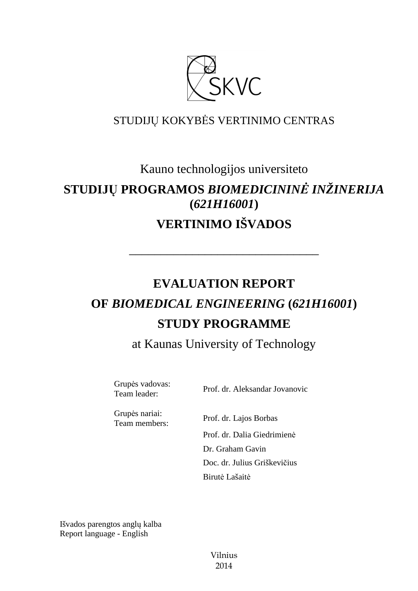

# STUDIJŲ KOKYBĖS VERTINIMO CENTRAS

# Kauno technologijos universiteto

# **STUDIJŲ PROGRAMOS** *BIOMEDICININĖ INŽINERIJA*  **(***621H16001***) VERTINIMO IŠVADOS**

# **EVALUATION REPORT OF** *BIOMEDICAL ENGINEERING* **(***621H16001***) STUDY PROGRAMME**

––––––––––––––––––––––––––––––

at Kaunas University of Technology

Grupės vadovas:

Team leader: Prof. dr. Aleksandar Jovanovic

Grupės nariai: Team members: Prof. dr. Lajos Borbas

 Prof. dr. Dalia Giedrimienė Dr. Graham Gavin Doc. dr. Julius Griškevičius Birutė Lašaitė

Išvados parengtos anglų kalba Report language - English

> Vilnius 2014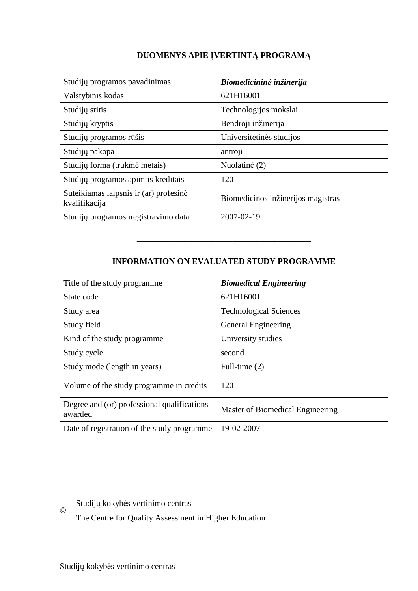### **DUOMENYS APIE ĮVERTINTĄ PROGRAMĄ**

| Studijų programos pavadinimas                           | Biomedicininė inžinerija           |
|---------------------------------------------------------|------------------------------------|
| Valstybinis kodas                                       | 621H16001                          |
| Studijų sritis                                          | Technologijos mokslai              |
| Studijų kryptis                                         | Bendroji inžinerija                |
| Studijų programos rūšis                                 | Universitetinės studijos           |
| Studijų pakopa                                          | antroji                            |
| Studijų forma (trukmė metais)                           | Nuolatinė (2)                      |
| Studijų programos apimtis kreditais                     | 120                                |
| Suteikiamas laipsnis ir (ar) profesinė<br>kvalifikacija | Biomedicinos inžinerijos magistras |
| Studijų programos įregistravimo data                    | 2007-02-19                         |

#### **INFORMATION ON EVALUATED STUDY PROGRAMME**

–––––––––––––––––––––––––––––––

| Title of the study programme.                          | <b>Biomedical Engineering</b>    |
|--------------------------------------------------------|----------------------------------|
| State code                                             | 621H16001                        |
| Study area                                             | <b>Technological Sciences</b>    |
| Study field                                            | General Engineering              |
| Kind of the study programme                            | University studies               |
| Study cycle                                            | second                           |
| Study mode (length in years)                           | Full-time $(2)$                  |
| Volume of the study programme in credits               | 120                              |
| Degree and (or) professional qualifications<br>awarded | Master of Biomedical Engineering |
| Date of registration of the study programme            | 19-02-2007                       |

Studijų kokybės vertinimo centras ©

The Centre for Quality Assessment in Higher Education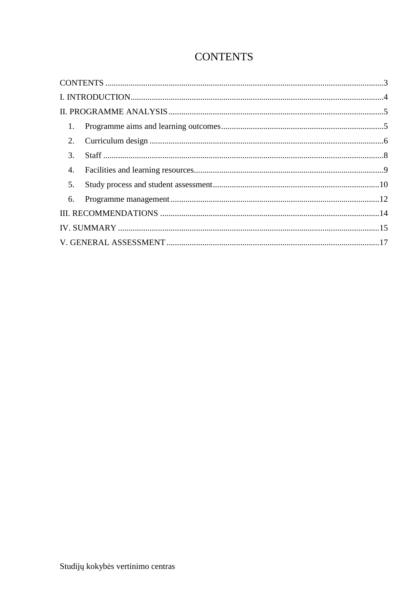## **CONTENTS**

| 1.                 |  |
|--------------------|--|
|                    |  |
| 3.                 |  |
| $\boldsymbol{4}$ . |  |
| 5.                 |  |
| 6.                 |  |
|                    |  |
|                    |  |
|                    |  |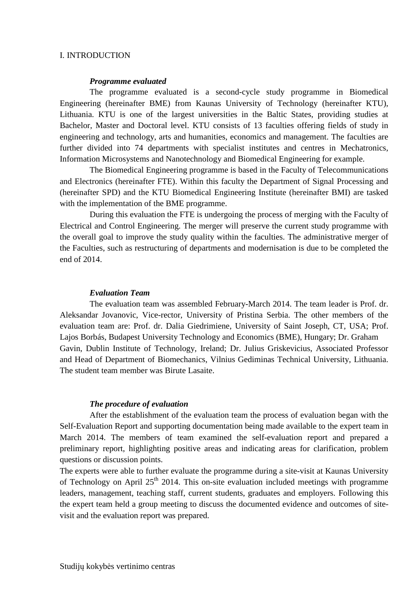#### I. INTRODUCTION

#### *Programme evaluated*

The programme evaluated is a second-cycle study programme in Biomedical Engineering (hereinafter BME) from Kaunas University of Technology (hereinafter KTU), Lithuania. KTU is one of the largest universities in the Baltic States, providing studies at Bachelor, Master and Doctoral level. KTU consists of 13 faculties offering fields of study in engineering and technology, arts and humanities, economics and management. The faculties are further divided into 74 departments with specialist institutes and centres in Mechatronics, Information Microsystems and Nanotechnology and Biomedical Engineering for example.

The Biomedical Engineering programme is based in the Faculty of Telecommunications and Electronics (hereinafter FTE). Within this faculty the Department of Signal Processing and (hereinafter SPD) and the KTU Biomedical Engineering Institute (hereinafter BMI) are tasked with the implementation of the BME programme.

During this evaluation the FTE is undergoing the process of merging with the Faculty of Electrical and Control Engineering. The merger will preserve the current study programme with the overall goal to improve the study quality within the faculties. The administrative merger of the Faculties, such as restructuring of departments and modernisation is due to be completed the end of 2014.

#### *Evaluation Team*

The evaluation team was assembled February-March 2014. The team leader is Prof. dr. Aleksandar Jovanovic, Vice-rector, University of Pristina Serbia. The other members of the evaluation team are: Prof. dr. Dalia Giedrimiene, University of Saint Joseph, CT, USA; Prof. Lajos Borbás, Budapest University Technology and Economics (BME), Hungary; Dr. Graham Gavin, Dublin Institute of Technology, Ireland; Dr. Julius Griskevicius, Associated Professor and Head of Department of Biomechanics, Vilnius Gediminas Technical University, Lithuania. The student team member was Birute Lasaite.

#### *The procedure of evaluation*

After the establishment of the evaluation team the process of evaluation began with the Self-Evaluation Report and supporting documentation being made available to the expert team in March 2014. The members of team examined the self-evaluation report and prepared a preliminary report, highlighting positive areas and indicating areas for clarification, problem questions or discussion points.

The experts were able to further evaluate the programme during a site-visit at Kaunas University of Technology on April  $25<sup>th</sup>$  2014. This on-site evaluation included meetings with programme leaders, management, teaching staff, current students, graduates and employers. Following this the expert team held a group meeting to discuss the documented evidence and outcomes of sitevisit and the evaluation report was prepared.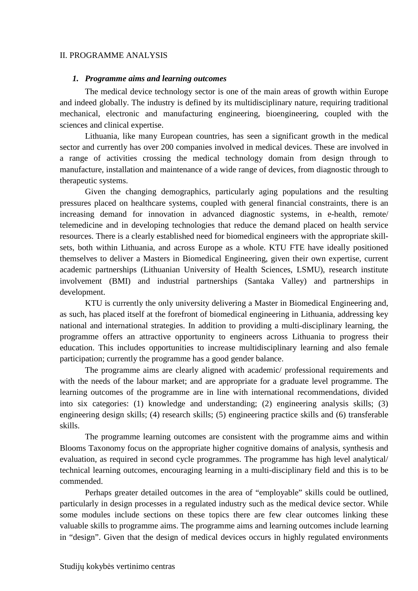#### II. PROGRAMME ANALYSIS

#### *1. Programme aims and learning outcomes*

The medical device technology sector is one of the main areas of growth within Europe and indeed globally. The industry is defined by its multidisciplinary nature, requiring traditional mechanical, electronic and manufacturing engineering, bioengineering, coupled with the sciences and clinical expertise.

Lithuania, like many European countries, has seen a significant growth in the medical sector and currently has over 200 companies involved in medical devices. These are involved in a range of activities crossing the medical technology domain from design through to manufacture, installation and maintenance of a wide range of devices, from diagnostic through to therapeutic systems.

Given the changing demographics, particularly aging populations and the resulting pressures placed on healthcare systems, coupled with general financial constraints, there is an increasing demand for innovation in advanced diagnostic systems, in e-health, remote/ telemedicine and in developing technologies that reduce the demand placed on health service resources. There is a clearly established need for biomedical engineers with the appropriate skillsets, both within Lithuania, and across Europe as a whole. KTU FTE have ideally positioned themselves to deliver a Masters in Biomedical Engineering, given their own expertise, current academic partnerships (Lithuanian University of Health Sciences, LSMU), research institute involvement (BMI) and industrial partnerships (Santaka Valley) and partnerships in development.

KTU is currently the only university delivering a Master in Biomedical Engineering and, as such, has placed itself at the forefront of biomedical engineering in Lithuania, addressing key national and international strategies. In addition to providing a multi-disciplinary learning, the programme offers an attractive opportunity to engineers across Lithuania to progress their education. This includes opportunities to increase multidisciplinary learning and also female participation; currently the programme has a good gender balance.

The programme aims are clearly aligned with academic/ professional requirements and with the needs of the labour market; and are appropriate for a graduate level programme. The learning outcomes of the programme are in line with international recommendations, divided into six categories: (1) knowledge and understanding; (2) engineering analysis skills; (3) engineering design skills; (4) research skills; (5) engineering practice skills and (6) transferable skills.

The programme learning outcomes are consistent with the programme aims and within Blooms Taxonomy focus on the appropriate higher cognitive domains of analysis, synthesis and evaluation, as required in second cycle programmes. The programme has high level analytical/ technical learning outcomes, encouraging learning in a multi-disciplinary field and this is to be commended.

Perhaps greater detailed outcomes in the area of "employable" skills could be outlined, particularly in design processes in a regulated industry such as the medical device sector. While some modules include sections on these topics there are few clear outcomes linking these valuable skills to programme aims. The programme aims and learning outcomes include learning in "design". Given that the design of medical devices occurs in highly regulated environments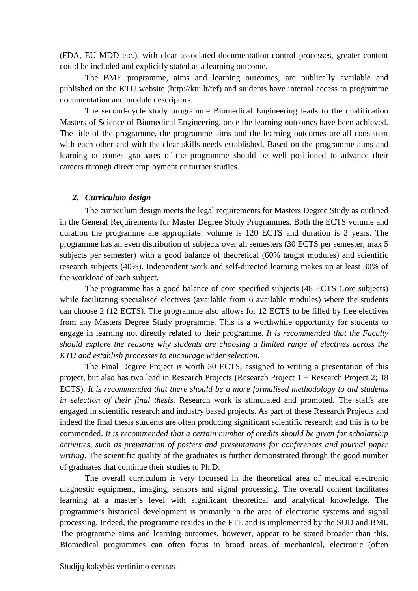(FDA, EU MDD etc.), with clear associated documentation control processes, greater content could be included and explicitly stated as a learning outcome.

The BME programme, aims and learning outcomes, are publically available and published on the KTU website (http://ktu.lt/tef) and students have internal access to programme documentation and module descriptors

The second-cycle study programme Biomedical Engineering leads to the qualification Masters of Science of Biomedical Engineering, once the learning outcomes have been achieved. The title of the programme, the programme aims and the learning outcomes are all consistent with each other and with the clear skills-needs established. Based on the programme aims and learning outcomes graduates of the programme should be well positioned to advance their careers through direct employment or further studies.

#### *2. Curriculum design*

The curriculum design meets the legal requirements for Masters Degree Study as outlined in the General Requirements for Master Degree Study Programmes. Both the ECTS volume and duration the programme are appropriate: volume is 120 ECTS and duration is 2 years. The programme has an even distribution of subjects over all semesters (30 ECTS per semester; max 5 subjects per semester) with a good balance of theoretical (60% taught modules) and scientific research subjects (40%). Independent work and self-directed learning makes up at least 30% of the workload of each subject.

The programme has a good balance of core specified subjects (48 ECTS Core subjects) while facilitating specialised electives (available from 6 available modules) where the students can choose 2 (12 ECTS). The programme also allows for 12 ECTS to be filled by free electives from any Masters Degree Study programme. This is a worthwhile opportunity for students to engage in learning not directly related to their programme. *It is recommended that the Faculty should explore the reasons why students are choosing a limited range of electives across the KTU and establish processes to encourage wider selection.* 

The Final Degree Project is worth 30 ECTS, assigned to writing a presentation of this project, but also has two lead in Research Projects (Research Project 1 + Research Project 2; 18 ECTS). *It is recommended that there should be a more formalised methodology to aid students in selection of their final thesis.* Research work is stimulated and promoted. The staffs are engaged in scientific research and industry based projects. As part of these Research Projects and indeed the final thesis students are often producing significant scientific research and this is to be commended. *It is recommended that a certain number of credits should be given for scholarship activities*, *such as preparation of posters and presentations for conferences and journal paper writing*. The scientific quality of the graduates is further demonstrated through the good number of graduates that continue their studies to Ph.D.

The overall curriculum is very focussed in the theoretical area of medical electronic diagnostic equipment, imaging, sensors and signal processing. The overall content facilitates learning at a master's level with significant theoretical and analytical knowledge. The programme's historical development is primarily in the area of electronic systems and signal processing. Indeed, the programme resides in the FTE and is implemented by the SOD and BMI. The programme aims and learning outcomes, however, appear to be stated broader than this. Biomedical programmes can often focus in broad areas of mechanical, electronic (often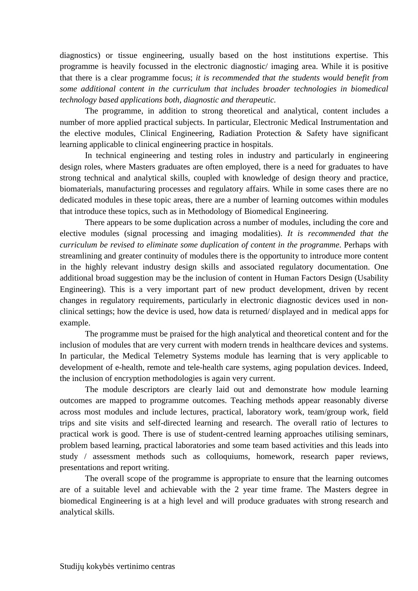diagnostics) or tissue engineering, usually based on the host institutions expertise. This programme is heavily focussed in the electronic diagnostic/ imaging area. While it is positive that there is a clear programme focus; *it is recommended that the students would benefit from some additional content in the curriculum that includes broader technologies in biomedical technology based applications both, diagnostic and therapeutic.* 

The programme, in addition to strong theoretical and analytical, content includes a number of more applied practical subjects. In particular, Electronic Medical Instrumentation and the elective modules, Clinical Engineering, Radiation Protection & Safety have significant learning applicable to clinical engineering practice in hospitals.

In technical engineering and testing roles in industry and particularly in engineering design roles, where Masters graduates are often employed, there is a need for graduates to have strong technical and analytical skills, coupled with knowledge of design theory and practice, biomaterials, manufacturing processes and regulatory affairs. While in some cases there are no dedicated modules in these topic areas, there are a number of learning outcomes within modules that introduce these topics, such as in Methodology of Biomedical Engineering.

There appears to be some duplication across a number of modules, including the core and elective modules (signal processing and imaging modalities). *It is recommended that the curriculum be revised to eliminate some duplication of content in the programme*. Perhaps with streamlining and greater continuity of modules there is the opportunity to introduce more content in the highly relevant industry design skills and associated regulatory documentation. One additional broad suggestion may be the inclusion of content in Human Factors Design (Usability Engineering). This is a very important part of new product development, driven by recent changes in regulatory requirements, particularly in electronic diagnostic devices used in nonclinical settings; how the device is used, how data is returned/ displayed and in medical apps for example.

The programme must be praised for the high analytical and theoretical content and for the inclusion of modules that are very current with modern trends in healthcare devices and systems. In particular, the Medical Telemetry Systems module has learning that is very applicable to development of e-health, remote and tele-health care systems, aging population devices. Indeed, the inclusion of encryption methodologies is again very current.

The module descriptors are clearly laid out and demonstrate how module learning outcomes are mapped to programme outcomes. Teaching methods appear reasonably diverse across most modules and include lectures, practical, laboratory work, team/group work, field trips and site visits and self-directed learning and research. The overall ratio of lectures to practical work is good. There is use of student-centred learning approaches utilising seminars, problem based learning, practical laboratories and some team based activities and this leads into study / assessment methods such as colloquiums, homework, research paper reviews, presentations and report writing.

The overall scope of the programme is appropriate to ensure that the learning outcomes are of a suitable level and achievable with the 2 year time frame. The Masters degree in biomedical Engineering is at a high level and will produce graduates with strong research and analytical skills.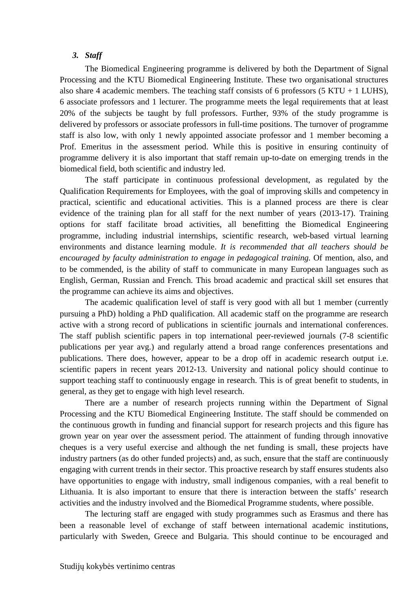#### *3. Staff*

The Biomedical Engineering programme is delivered by both the Department of Signal Processing and the KTU Biomedical Engineering Institute. These two organisational structures also share 4 academic members. The teaching staff consists of 6 professors  $(5 KTU + 1 LUHS)$ , 6 associate professors and 1 lecturer. The programme meets the legal requirements that at least 20% of the subjects be taught by full professors. Further, 93% of the study programme is delivered by professors or associate professors in full-time positions. The turnover of programme staff is also low, with only 1 newly appointed associate professor and 1 member becoming a Prof. Emeritus in the assessment period. While this is positive in ensuring continuity of programme delivery it is also important that staff remain up-to-date on emerging trends in the biomedical field, both scientific and industry led.

The staff participate in continuous professional development, as regulated by the Qualification Requirements for Employees, with the goal of improving skills and competency in practical, scientific and educational activities. This is a planned process are there is clear evidence of the training plan for all staff for the next number of years (2013-17). Training options for staff facilitate broad activities, all benefitting the Biomedical Engineering programme, including industrial internships, scientific research, web-based virtual learning environments and distance learning module. *It is recommended that all teachers should be encouraged by faculty administration to engage in pedagogical training.* Of mention, also, and to be commended, is the ability of staff to communicate in many European languages such as English, German, Russian and French. This broad academic and practical skill set ensures that the programme can achieve its aims and objectives.

The academic qualification level of staff is very good with all but 1 member (currently pursuing a PhD) holding a PhD qualification. All academic staff on the programme are research active with a strong record of publications in scientific journals and international conferences. The staff publish scientific papers in top international peer-reviewed journals (7-8 scientific publications per year avg.) and regularly attend a broad range conferences presentations and publications. There does, however, appear to be a drop off in academic research output i.e. scientific papers in recent years 2012-13. University and national policy should continue to support teaching staff to continuously engage in research. This is of great benefit to students, in general, as they get to engage with high level research.

There are a number of research projects running within the Department of Signal Processing and the KTU Biomedical Engineering Institute. The staff should be commended on the continuous growth in funding and financial support for research projects and this figure has grown year on year over the assessment period. The attainment of funding through innovative cheques is a very useful exercise and although the net funding is small, these projects have industry partners (as do other funded projects) and, as such, ensure that the staff are continuously engaging with current trends in their sector. This proactive research by staff ensures students also have opportunities to engage with industry, small indigenous companies, with a real benefit to Lithuania. It is also important to ensure that there is interaction between the staffs' research activities and the industry involved and the Biomedical Programme students, where possible.

The lecturing staff are engaged with study programmes such as Erasmus and there has been a reasonable level of exchange of staff between international academic institutions, particularly with Sweden, Greece and Bulgaria. This should continue to be encouraged and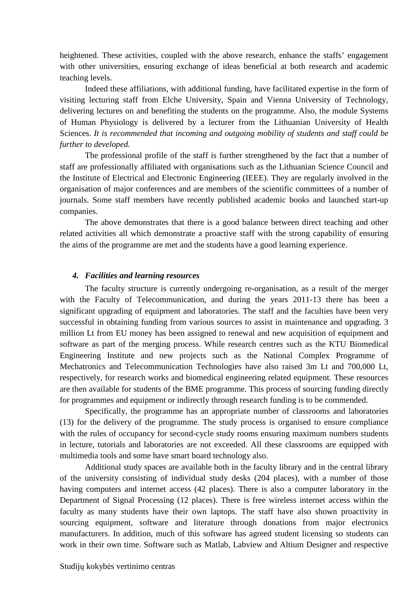heightened. These activities, coupled with the above research, enhance the staffs' engagement with other universities, ensuring exchange of ideas beneficial at both research and academic teaching levels.

Indeed these affiliations, with additional funding, have facilitated expertise in the form of visiting lecturing staff from Elche University, Spain and Vienna University of Technology, delivering lectures on and benefiting the students on the programme. Also, the module Systems of Human Physiology is delivered by a lecturer from the Lithuanian University of Health Sciences. *It is recommended that incoming and outgoing mobility of students and staff could be further to developed.*

The professional profile of the staff is further strengthened by the fact that a number of staff are professionally affiliated with organisations such as the Lithuanian Science Council and the Institute of Electrical and Electronic Engineering (IEEE). They are regularly involved in the organisation of major conferences and are members of the scientific committees of a number of journals. Some staff members have recently published academic books and launched start-up companies.

The above demonstrates that there is a good balance between direct teaching and other related activities all which demonstrate a proactive staff with the strong capability of ensuring the aims of the programme are met and the students have a good learning experience.

#### *4. Facilities and learning resources*

The faculty structure is currently undergoing re-organisation, as a result of the merger with the Faculty of Telecommunication, and during the years 2011-13 there has been a significant upgrading of equipment and laboratories. The staff and the faculties have been very successful in obtaining funding from various sources to assist in maintenance and upgrading. 3 million Lt from EU money has been assigned to renewal and new acquisition of equipment and software as part of the merging process. While research centres such as the KTU Biomedical Engineering Institute and new projects such as the National Complex Programme of Mechatronics and Telecommunication Technologies have also raised 3m Lt and 700,000 Lt, respectively, for research works and biomedical engineering related equipment. These resources are then available for students of the BME programme. This process of sourcing funding directly for programmes and equipment or indirectly through research funding is to be commended.

Specifically, the programme has an appropriate number of classrooms and laboratories (13) for the delivery of the programme. The study process is organised to ensure compliance with the rules of occupancy for second-cycle study rooms ensuring maximum numbers students in lecture, tutorials and laboratories are not exceeded. All these classrooms are equipped with multimedia tools and some have smart board technology also.

Additional study spaces are available both in the faculty library and in the central library of the university consisting of individual study desks (204 places), with a number of those having computers and internet access (42 places). There is also a computer laboratory in the Department of Signal Processing (12 places). There is free wireless internet access within the faculty as many students have their own laptops. The staff have also shown proactivity in sourcing equipment, software and literature through donations from major electronics manufacturers. In addition, much of this software has agreed student licensing so students can work in their own time. Software such as Matlab, Labview and Altium Designer and respective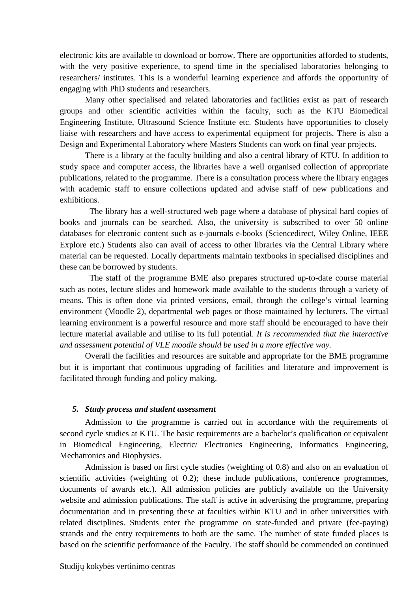electronic kits are available to download or borrow. There are opportunities afforded to students, with the very positive experience, to spend time in the specialised laboratories belonging to researchers/ institutes. This is a wonderful learning experience and affords the opportunity of engaging with PhD students and researchers.

Many other specialised and related laboratories and facilities exist as part of research groups and other scientific activities within the faculty, such as the KTU Biomedical Engineering Institute, Ultrasound Science Institute etc. Students have opportunities to closely liaise with researchers and have access to experimental equipment for projects. There is also a Design and Experimental Laboratory where Masters Students can work on final year projects.

There is a library at the faculty building and also a central library of KTU. In addition to study space and computer access, the libraries have a well organised collection of appropriate publications, related to the programme. There is a consultation process where the library engages with academic staff to ensure collections updated and advise staff of new publications and exhibitions.

The library has a well-structured web page where a database of physical hard copies of books and journals can be searched. Also, the university is subscribed to over 50 online databases for electronic content such as e-journals e-books (Sciencedirect, Wiley Online, IEEE Explore etc.) Students also can avail of access to other libraries via the Central Library where material can be requested. Locally departments maintain textbooks in specialised disciplines and these can be borrowed by students.

The staff of the programme BME also prepares structured up-to-date course material such as notes, lecture slides and homework made available to the students through a variety of means. This is often done via printed versions, email, through the college's virtual learning environment (Moodle 2), departmental web pages or those maintained by lecturers. The virtual learning environment is a powerful resource and more staff should be encouraged to have their lecture material available and utilise to its full potential. *It is recommended that the interactive and assessment potential of VLE moodle should be used in a more effective way.*

Overall the facilities and resources are suitable and appropriate for the BME programme but it is important that continuous upgrading of facilities and literature and improvement is facilitated through funding and policy making.

#### *5. Study process and student assessment*

Admission to the programme is carried out in accordance with the requirements of second cycle studies at KTU. The basic requirements are a bachelor's qualification or equivalent in Biomedical Engineering, Electric/ Electronics Engineering, Informatics Engineering, Mechatronics and Biophysics.

Admission is based on first cycle studies (weighting of 0.8) and also on an evaluation of scientific activities (weighting of 0.2); these include publications, conference programmes, documents of awards etc.). All admission policies are publicly available on the University website and admission publications. The staff is active in advertising the programme, preparing documentation and in presenting these at faculties within KTU and in other universities with related disciplines. Students enter the programme on state-funded and private (fee-paying) strands and the entry requirements to both are the same. The number of state funded places is based on the scientific performance of the Faculty. The staff should be commended on continued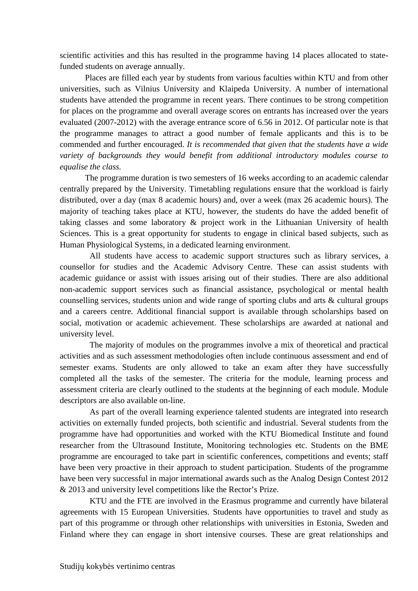scientific activities and this has resulted in the programme having 14 places allocated to statefunded students on average annually.

Places are filled each year by students from various faculties within KTU and from other universities, such as Vilnius University and Klaipeda University. A number of international students have attended the programme in recent years. There continues to be strong competition for places on the programme and overall average scores on entrants has increased over the years evaluated (2007-2012) with the average entrance score of 6.56 in 2012. Of particular note is that the programme manages to attract a good number of female applicants and this is to be commended and further encouraged. *It is recommended that given that the students have a wide variety of backgrounds they would benefit from additional introductory modules course to equalise the class.* 

The programme duration is two semesters of 16 weeks according to an academic calendar centrally prepared by the University. Timetabling regulations ensure that the workload is fairly distributed, over a day (max 8 academic hours) and, over a week (max 26 academic hours). The majority of teaching takes place at KTU, however, the students do have the added benefit of taking classes and some laboratory & project work in the Lithuanian University of health Sciences. This is a great opportunity for students to engage in clinical based subjects, such as Human Physiological Systems, in a dedicated learning environment.

 All students have access to academic support structures such as library services, a counsellor for studies and the Academic Advisory Centre. These can assist students with academic guidance or assist with issues arising out of their studies. There are also additional non-academic support services such as financial assistance, psychological or mental health counselling services, students union and wide range of sporting clubs and arts & cultural groups and a careers centre. Additional financial support is available through scholarships based on social, motivation or academic achievement. These scholarships are awarded at national and university level.

The majority of modules on the programmes involve a mix of theoretical and practical activities and as such assessment methodologies often include continuous assessment and end of semester exams. Students are only allowed to take an exam after they have successfully completed all the tasks of the semester. The criteria for the module, learning process and assessment criteria are clearly outlined to the students at the beginning of each module. Module descriptors are also available on-line.

As part of the overall learning experience talented students are integrated into research activities on externally funded projects, both scientific and industrial. Several students from the programme have had opportunities and worked with the KTU Biomedical Institute and found researcher from the Ultrasound Institute, Monitoring technologies etc. Students on the BME programme are encouraged to take part in scientific conferences, competitions and events; staff have been very proactive in their approach to student participation. Students of the programme have been very successful in major international awards such as the Analog Design Contest 2012 & 2013 and university level competitions like the Rector's Prize.

KTU and the FTE are involved in the Erasmus programme and currently have bilateral agreements with 15 European Universities. Students have opportunities to travel and study as part of this programme or through other relationships with universities in Estonia, Sweden and Finland where they can engage in short intensive courses. These are great relationships and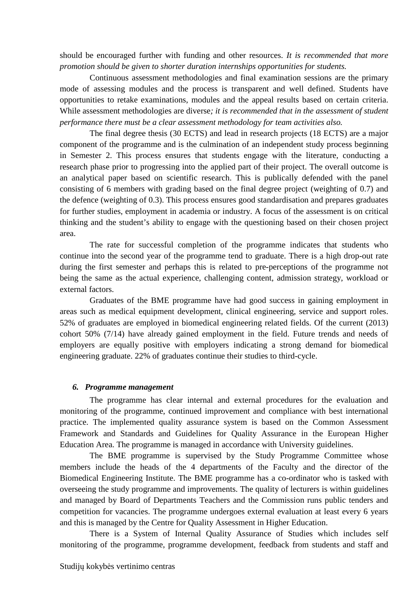should be encouraged further with funding and other resources. *It is recommended that more promotion should be given to shorter duration internships opportunities for students.*

Continuous assessment methodologies and final examination sessions are the primary mode of assessing modules and the process is transparent and well defined. Students have opportunities to retake examinations, modules and the appeal results based on certain criteria. While assessment methodologies are diverse*; it is recommended that in the assessment of student performance there must be a clear assessment methodology for team activities also.* 

The final degree thesis (30 ECTS) and lead in research projects (18 ECTS) are a major component of the programme and is the culmination of an independent study process beginning in Semester 2. This process ensures that students engage with the literature, conducting a research phase prior to progressing into the applied part of their project. The overall outcome is an analytical paper based on scientific research. This is publically defended with the panel consisting of 6 members with grading based on the final degree project (weighting of 0.7) and the defence (weighting of 0.3). This process ensures good standardisation and prepares graduates for further studies, employment in academia or industry. A focus of the assessment is on critical thinking and the student's ability to engage with the questioning based on their chosen project area.

The rate for successful completion of the programme indicates that students who continue into the second year of the programme tend to graduate. There is a high drop-out rate during the first semester and perhaps this is related to pre-perceptions of the programme not being the same as the actual experience, challenging content, admission strategy, workload or external factors.

Graduates of the BME programme have had good success in gaining employment in areas such as medical equipment development, clinical engineering, service and support roles. 52% of graduates are employed in biomedical engineering related fields. Of the current (2013) cohort 50% (7/14) have already gained employment in the field. Future trends and needs of employers are equally positive with employers indicating a strong demand for biomedical engineering graduate. 22% of graduates continue their studies to third-cycle.

#### *6. Programme management*

The programme has clear internal and external procedures for the evaluation and monitoring of the programme, continued improvement and compliance with best international practice. The implemented quality assurance system is based on the Common Assessment Framework and Standards and Guidelines for Quality Assurance in the European Higher Education Area. The programme is managed in accordance with University guidelines.

The BME programme is supervised by the Study Programme Committee whose members include the heads of the 4 departments of the Faculty and the director of the Biomedical Engineering Institute. The BME programme has a co-ordinator who is tasked with overseeing the study programme and improvements. The quality of lecturers is within guidelines and managed by Board of Departments Teachers and the Commission runs public tenders and competition for vacancies. The programme undergoes external evaluation at least every 6 years and this is managed by the Centre for Quality Assessment in Higher Education.

There is a System of Internal Quality Assurance of Studies which includes self monitoring of the programme, programme development, feedback from students and staff and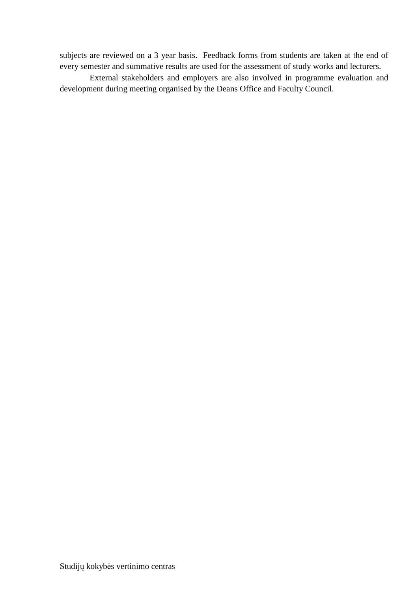subjects are reviewed on a 3 year basis. Feedback forms from students are taken at the end of every semester and summative results are used for the assessment of study works and lecturers.

External stakeholders and employers are also involved in programme evaluation and development during meeting organised by the Deans Office and Faculty Council.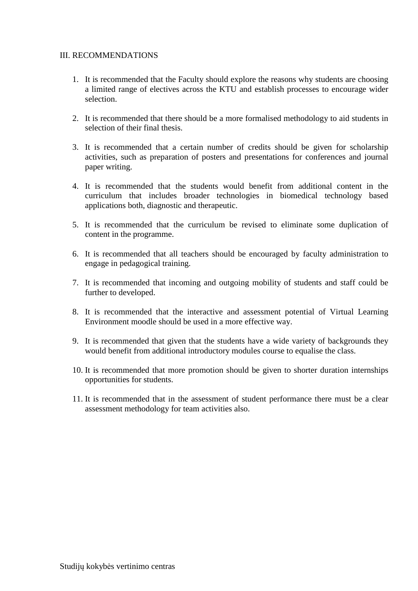#### III. RECOMMENDATIONS

- 1. It is recommended that the Faculty should explore the reasons why students are choosing a limited range of electives across the KTU and establish processes to encourage wider selection.
- 2. It is recommended that there should be a more formalised methodology to aid students in selection of their final thesis.
- 3. It is recommended that a certain number of credits should be given for scholarship activities, such as preparation of posters and presentations for conferences and journal paper writing.
- 4. It is recommended that the students would benefit from additional content in the curriculum that includes broader technologies in biomedical technology based applications both, diagnostic and therapeutic.
- 5. It is recommended that the curriculum be revised to eliminate some duplication of content in the programme.
- 6. It is recommended that all teachers should be encouraged by faculty administration to engage in pedagogical training.
- 7. It is recommended that incoming and outgoing mobility of students and staff could be further to developed.
- 8. It is recommended that the interactive and assessment potential of Virtual Learning Environment moodle should be used in a more effective way.
- 9. It is recommended that given that the students have a wide variety of backgrounds they would benefit from additional introductory modules course to equalise the class.
- 10. It is recommended that more promotion should be given to shorter duration internships opportunities for students.
- 11. It is recommended that in the assessment of student performance there must be a clear assessment methodology for team activities also.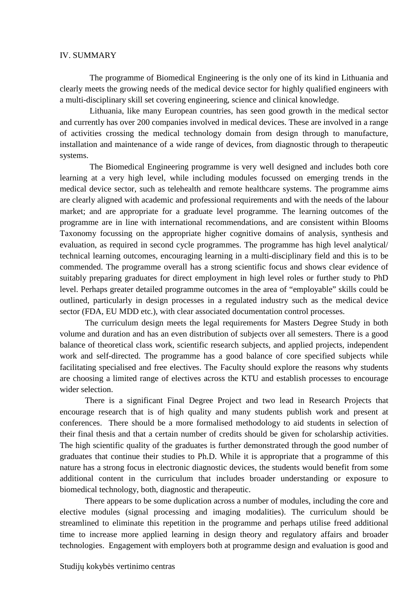#### IV. SUMMARY

The programme of Biomedical Engineering is the only one of its kind in Lithuania and clearly meets the growing needs of the medical device sector for highly qualified engineers with a multi-disciplinary skill set covering engineering, science and clinical knowledge.

Lithuania, like many European countries, has seen good growth in the medical sector and currently has over 200 companies involved in medical devices. These are involved in a range of activities crossing the medical technology domain from design through to manufacture, installation and maintenance of a wide range of devices, from diagnostic through to therapeutic systems.

The Biomedical Engineering programme is very well designed and includes both core learning at a very high level, while including modules focussed on emerging trends in the medical device sector, such as telehealth and remote healthcare systems. The programme aims are clearly aligned with academic and professional requirements and with the needs of the labour market; and are appropriate for a graduate level programme. The learning outcomes of the programme are in line with international recommendations, and are consistent within Blooms Taxonomy focussing on the appropriate higher cognitive domains of analysis, synthesis and evaluation, as required in second cycle programmes. The programme has high level analytical/ technical learning outcomes, encouraging learning in a multi-disciplinary field and this is to be commended. The programme overall has a strong scientific focus and shows clear evidence of suitably preparing graduates for direct employment in high level roles or further study to PhD level. Perhaps greater detailed programme outcomes in the area of "employable" skills could be outlined, particularly in design processes in a regulated industry such as the medical device sector (FDA, EU MDD etc.), with clear associated documentation control processes.

The curriculum design meets the legal requirements for Masters Degree Study in both volume and duration and has an even distribution of subjects over all semesters. There is a good balance of theoretical class work, scientific research subjects, and applied projects, independent work and self-directed. The programme has a good balance of core specified subjects while facilitating specialised and free electives. The Faculty should explore the reasons why students are choosing a limited range of electives across the KTU and establish processes to encourage wider selection.

There is a significant Final Degree Project and two lead in Research Projects that encourage research that is of high quality and many students publish work and present at conferences. There should be a more formalised methodology to aid students in selection of their final thesis and that a certain number of credits should be given for scholarship activities. The high scientific quality of the graduates is further demonstrated through the good number of graduates that continue their studies to Ph.D. While it is appropriate that a programme of this nature has a strong focus in electronic diagnostic devices, the students would benefit from some additional content in the curriculum that includes broader understanding or exposure to biomedical technology, both, diagnostic and therapeutic.

There appears to be some duplication across a number of modules, including the core and elective modules (signal processing and imaging modalities). The curriculum should be streamlined to eliminate this repetition in the programme and perhaps utilise freed additional time to increase more applied learning in design theory and regulatory affairs and broader technologies. Engagement with employers both at programme design and evaluation is good and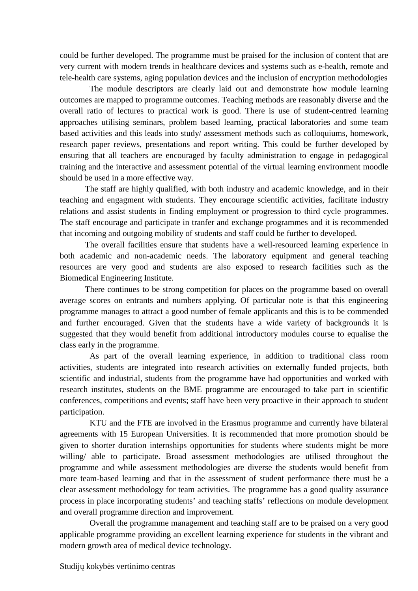could be further developed. The programme must be praised for the inclusion of content that are very current with modern trends in healthcare devices and systems such as e-health, remote and tele-health care systems, aging population devices and the inclusion of encryption methodologies

The module descriptors are clearly laid out and demonstrate how module learning outcomes are mapped to programme outcomes. Teaching methods are reasonably diverse and the overall ratio of lectures to practical work is good. There is use of student-centred learning approaches utilising seminars, problem based learning, practical laboratories and some team based activities and this leads into study/ assessment methods such as colloquiums, homework, research paper reviews, presentations and report writing. This could be further developed by ensuring that all teachers are encouraged by faculty administration to engage in pedagogical training and the interactive and assessment potential of the virtual learning environment moodle should be used in a more effective way.

The staff are highly qualified, with both industry and academic knowledge, and in their teaching and engagment with students. They encourage scientific activities, facilitate industry relations and assist students in finding employment or progression to third cycle programmes. The staff encourage and participate in tranfer and exchange programmes and it is recommended that incoming and outgoing mobility of students and staff could be further to developed.

The overall facilities ensure that students have a well-resourced learning experience in both academic and non-academic needs. The laboratory equipment and general teaching resources are very good and students are also exposed to research facilities such as the Biomedical Engineering Institute.

There continues to be strong competition for places on the programme based on overall average scores on entrants and numbers applying. Of particular note is that this engineering programme manages to attract a good number of female applicants and this is to be commended and further encouraged. Given that the students have a wide variety of backgrounds it is suggested that they would benefit from additional introductory modules course to equalise the class early in the programme.

As part of the overall learning experience, in addition to traditional class room activities, students are integrated into research activities on externally funded projects, both scientific and industrial, students from the programme have had opportunities and worked with research institutes, students on the BME programme are encouraged to take part in scientific conferences, competitions and events; staff have been very proactive in their approach to student participation.

KTU and the FTE are involved in the Erasmus programme and currently have bilateral agreements with 15 European Universities. It is recommended that more promotion should be given to shorter duration internships opportunities for students where students might be more willing/ able to participate. Broad assessment methodologies are utilised throughout the programme and while assessment methodologies are diverse the students would benefit from more team-based learning and that in the assessment of student performance there must be a clear assessment methodology for team activities. The programme has a good quality assurance process in place incorporating students' and teaching staffs' reflections on module development and overall programme direction and improvement.

Overall the programme management and teaching staff are to be praised on a very good applicable programme providing an excellent learning experience for students in the vibrant and modern growth area of medical device technology.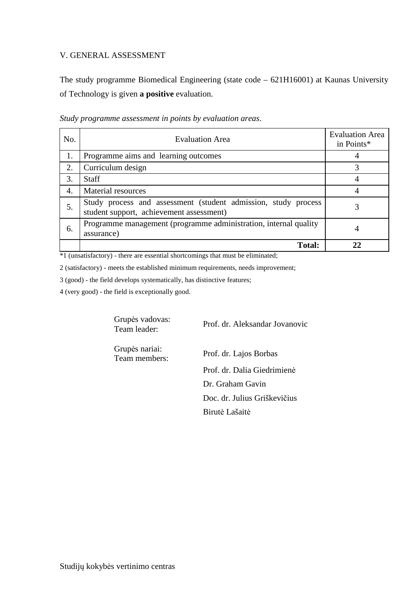#### V. GENERAL ASSESSMENT

The study programme Biomedical Engineering (state code – 621H16001) at Kaunas University of Technology is given **a positive** evaluation.

| No. | <b>Evaluation Area</b>                                                                                     | <b>Evaluation Area</b><br>in Points* |
|-----|------------------------------------------------------------------------------------------------------------|--------------------------------------|
| 1.  | Programme aims and learning outcomes                                                                       |                                      |
| 2.  | Curriculum design                                                                                          | 3                                    |
| 3.  | <b>Staff</b>                                                                                               |                                      |
| 4.  | Material resources                                                                                         |                                      |
| 5.  | Study process and assessment (student admission, study process<br>student support, achievement assessment) |                                      |
| 6.  | Programme management (programme administration, internal quality<br>assurance)                             | 4                                    |
|     | <b>Total:</b>                                                                                              |                                      |

*Study programme assessment in points by evaluation areas*.

\*1 (unsatisfactory) - there are essential shortcomings that must be eliminated;

2 (satisfactory) - meets the established minimum requirements, needs improvement;

3 (good) - the field develops systematically, has distinctive features;

4 (very good) - the field is exceptionally good.

Grupės vadovas:

Team leader: Prof. dr. Aleksandar Jovanovic

Grupės nariai:

Prof. dr. Lajos Borbas Prof. dr. Dalia Giedrimienė Dr. Graham Gavin Doc. dr. Julius Griškevičius Birutė Lašaitė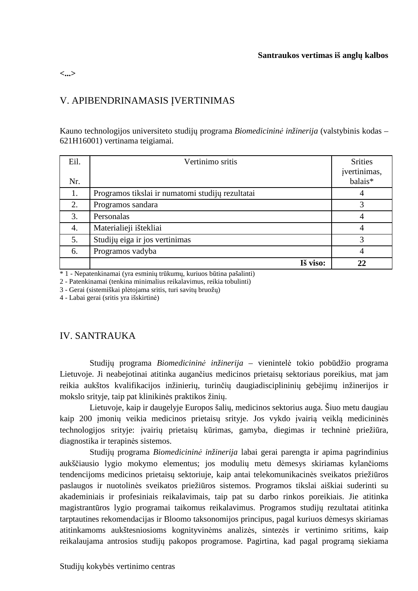#### **Santraukos vertimas iš anglų kalbos**

**<...>** 

## V. APIBENDRINAMASIS ĮVERTINIMAS

Kauno technologijos universiteto studijų programa *Biomedicininė inžinerija* (valstybinis kodas – 621H16001) vertinama teigiamai.

| Eil.<br>Nr. | Vertinimo sritis                                 | <b>Srities</b><br>jvertinimas,<br>balais* |
|-------------|--------------------------------------------------|-------------------------------------------|
| 1.          | Programos tikslai ir numatomi studijų rezultatai | 4                                         |
| 2.          | Programos sandara                                | 3                                         |
| 3.          | Personalas                                       | 4                                         |
| 4.          | Materialieji ištekliai                           | 4                                         |
| 5.          | Studijų eiga ir jos vertinimas                   | 3                                         |
| 6.          | Programos vadyba                                 | 4                                         |
|             | Iš viso:                                         | 22                                        |

\* 1 - Nepatenkinamai (yra esminių trūkumų, kuriuos būtina pašalinti)

2 - Patenkinamai (tenkina minimalius reikalavimus, reikia tobulinti)

3 - Gerai (sistemiškai plėtojama sritis, turi savitų bruožų)

4 - Labai gerai (sritis yra išskirtinė)

## IV. SANTRAUKA

Studijų programa *Biomedicininė inžinerija* – vienintelė tokio pobūdžio programa Lietuvoje. Ji neabejotinai atitinka augančius medicinos prietaisų sektoriaus poreikius, mat jam reikia aukštos kvalifikacijos inžinierių, turinčių daugiadisciplininių gebėjimų inžinerijos ir mokslo srityje, taip pat klinikinės praktikos žinių.

Lietuvoje, kaip ir daugelyje Europos šalių, medicinos sektorius auga. Šiuo metu daugiau kaip 200 įmonių veikia medicinos prietaisų srityje. Jos vykdo įvairią veiklą medicininės technologijos srityje: įvairių prietaisų kūrimas, gamyba, diegimas ir techninė priežiūra, diagnostika ir terapinės sistemos.

Studijų programa *Biomedicininė inžinerija* labai gerai parengta ir apima pagrindinius aukščiausio lygio mokymo elementus; jos modulių metu dėmesys skiriamas kylančioms tendencijoms medicinos prietaisų sektoriuje, kaip antai telekomunikacinės sveikatos priežiūros paslaugos ir nuotolinės sveikatos priežiūros sistemos. Programos tikslai aiškiai suderinti su akademiniais ir profesiniais reikalavimais, taip pat su darbo rinkos poreikiais. Jie atitinka magistrantūros lygio programai taikomus reikalavimus. Programos studijų rezultatai atitinka tarptautines rekomendacijas ir Bloomo taksonomijos principus, pagal kuriuos dėmesys skiriamas atitinkamoms aukštesniosioms kognityvinėms analizės, sintezės ir vertinimo sritims, kaip reikalaujama antrosios studijų pakopos programose. Pagirtina, kad pagal programą siekiama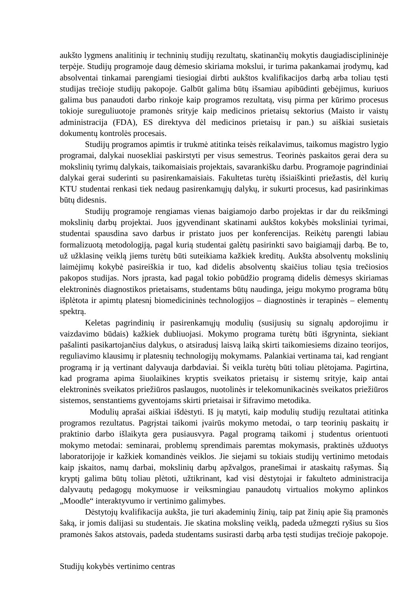aukšto lygmens analitinių ir techninių studijų rezultatų, skatinančių mokytis daugiadisciplininėje terpėje. Studijų programoje daug dėmesio skiriama mokslui, ir turima pakankamai įrodymų, kad absolventai tinkamai parengiami tiesiogiai dirbti aukštos kvalifikacijos darbą arba toliau tęsti studijas trečioje studijų pakopoje. Galbūt galima būtų išsamiau apibūdinti gebėjimus, kuriuos galima bus panaudoti darbo rinkoje kaip programos rezultatą, visų pirma per kūrimo procesus tokioje sureguliuotoje pramonės srityje kaip medicinos prietaisų sektorius (Maisto ir vaistų administracija (FDA), ES direktyva dėl medicinos prietaisų ir pan.) su aiškiai susietais dokumentų kontrolės procesais.

Studijų programos apimtis ir trukmė atitinka teisės reikalavimus, taikomus magistro lygio programai, dalykai nuosekliai paskirstyti per visus semestrus. Teorinės paskaitos gerai dera su mokslinių tyrimų dalykais, taikomaisiais projektais, savarankišku darbu. Programoje pagrindiniai dalykai gerai suderinti su pasirenkamaisiais. Fakultetas turėtų išsiaiškinti priežastis, dėl kurių KTU studentai renkasi tiek nedaug pasirenkamųjų dalykų, ir sukurti procesus, kad pasirinkimas būtų didesnis.

Studijų programoje rengiamas vienas baigiamojo darbo projektas ir dar du reikšmingi mokslinių darbų projektai. Juos įgyvendinant skatinami aukštos kokybės moksliniai tyrimai, studentai spausdina savo darbus ir pristato juos per konferencijas. Reikėtų parengti labiau formalizuotą metodologiją, pagal kurią studentai galėtų pasirinkti savo baigiamąjį darbą. Be to, už užklasinę veiklą jiems turėtų būti suteikiama kažkiek kreditų. Aukšta absolventų mokslinių laimėjimų kokybė pasireiškia ir tuo, kad didelis absolventų skaičius toliau tęsia trečiosios pakopos studijas. Nors įprasta, kad pagal tokio pobūdžio programą didelis dėmesys skiriamas elektroninės diagnostikos prietaisams, studentams būtų naudinga, jeigu mokymo programa būtų išplėtota ir apimtų platesnį biomedicininės technologijos – diagnostinės ir terapinės – elementų spektrą.

Keletas pagrindinių ir pasirenkamųjų modulių (susijusių su signalų apdorojimu ir vaizdavimo būdais) kažkiek dubliuojasi. Mokymo programa turėtų būti išgryninta, siekiant pašalinti pasikartojančius dalykus, o atsiradusį laisvą laiką skirti taikomiesiems dizaino teorijos, reguliavimo klausimų ir platesnių technologijų mokymams. Palankiai vertinama tai, kad rengiant programą ir ją vertinant dalyvauja darbdaviai. Ši veikla turėtų būti toliau plėtojama. Pagirtina, kad programa apima šiuolaikines kryptis sveikatos prietaisų ir sistemų srityje, kaip antai elektroninės sveikatos priežiūros paslaugos, nuotolinės ir telekomunikacinės sveikatos priežiūros sistemos, senstantiems gyventojams skirti prietaisai ir šifravimo metodika.

Modulių aprašai aiškiai išdėstyti. Iš jų matyti, kaip modulių studijų rezultatai atitinka programos rezultatus. Pagrįstai taikomi įvairūs mokymo metodai, o tarp teorinių paskaitų ir praktinio darbo išlaikyta gera pusiausvyra. Pagal programą taikomi į studentus orientuoti mokymo metodai: seminarai, problemų sprendimais paremtas mokymasis, praktinės užduotys laboratorijoje ir kažkiek komandinės veiklos. Jie siejami su tokiais studijų vertinimo metodais kaip įskaitos, namų darbai, mokslinių darbų apžvalgos, pranešimai ir ataskaitų rašymas. Šią kryptį galima būtų toliau plėtoti, užtikrinant, kad visi dėstytojai ir fakulteto administracija dalyvautų pedagogų mokymuose ir veiksmingiau panaudotų virtualios mokymo aplinkos "Moodle" interaktyvumo ir vertinimo galimybes.

Dėstytojų kvalifikacija aukšta, jie turi akademinių žinių, taip pat žinių apie šią pramonės šaką, ir jomis dalijasi su studentais. Jie skatina mokslinę veiklą, padeda užmegzti ryšius su šios pramonės šakos atstovais, padeda studentams susirasti darbą arba tęsti studijas trečioje pakopoje.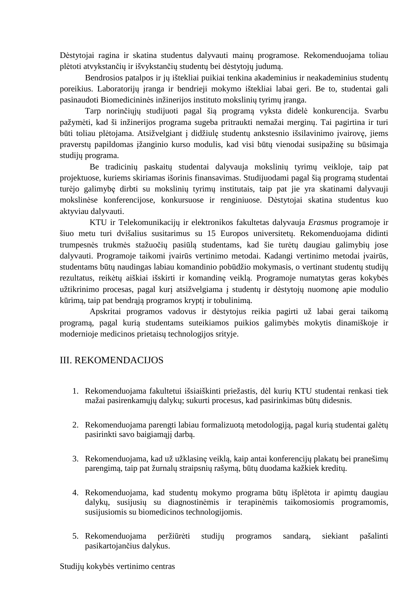Dėstytojai ragina ir skatina studentus dalyvauti mainų programose. Rekomenduojama toliau plėtoti atvykstančių ir išvykstančių studentų bei dėstytojų judumą.

Bendrosios patalpos ir jų ištekliai puikiai tenkina akademinius ir neakademinius studentų poreikius. Laboratorijų įranga ir bendrieji mokymo ištekliai labai geri. Be to, studentai gali pasinaudoti Biomedicininės inžinerijos instituto mokslinių tyrimų įranga.

Tarp norinčiųjų studijuoti pagal šią programą vyksta didelė konkurencija. Svarbu pažymėti, kad ši inžinerijos programa sugeba pritraukti nemažai merginų. Tai pagirtina ir turi būti toliau plėtojama. Atsižvelgiant į didžiulę studentų ankstesnio išsilavinimo įvairovę, jiems praverstų papildomas įžanginio kurso modulis, kad visi būtų vienodai susipažinę su būsimąja studijų programa.

Be tradicinių paskaitų studentai dalyvauja mokslinių tyrimų veikloje, taip pat projektuose, kuriems skiriamas išorinis finansavimas. Studijuodami pagal šią programą studentai turėjo galimybę dirbti su mokslinių tyrimų institutais, taip pat jie yra skatinami dalyvauji mokslinėse konferencijose, konkursuose ir renginiuose. Dėstytojai skatina studentus kuo aktyviau dalyvauti.

KTU ir Telekomunikacijų ir elektronikos fakultetas dalyvauja *Erasmus* programoje ir šiuo metu turi dvišalius susitarimus su 15 Europos universitetų. Rekomenduojama didinti trumpesnės trukmės stažuočių pasiūlą studentams, kad šie turėtų daugiau galimybių jose dalyvauti. Programoje taikomi įvairūs vertinimo metodai. Kadangi vertinimo metodai įvairūs, studentams būtų naudingas labiau komandinio pobūdžio mokymasis, o vertinant studentų studijų rezultatus, reikėtų aiškiai išskirti ir komandinę veiklą. Programoje numatytas geras kokybės užtikrinimo procesas, pagal kurį atsižvelgiama į studentų ir dėstytojų nuomonę apie modulio kūrimą, taip pat bendrąją programos kryptį ir tobulinimą.

Apskritai programos vadovus ir dėstytojus reikia pagirti už labai gerai taikomą programą, pagal kurią studentams suteikiamos puikios galimybės mokytis dinamiškoje ir modernioje medicinos prietaisų technologijos srityje.

## III. REKOMENDACIJOS

- 1. Rekomenduojama fakultetui išsiaiškinti priežastis, dėl kurių KTU studentai renkasi tiek mažai pasirenkamųjų dalykų; sukurti procesus, kad pasirinkimas būtų didesnis.
- 2. Rekomenduojama parengti labiau formalizuotą metodologiją, pagal kurią studentai galėtų pasirinkti savo baigiamąjį darbą.
- 3. Rekomenduojama, kad už užklasinę veiklą, kaip antai konferencijų plakatų bei pranešimų parengimą, taip pat žurnalų straipsnių rašymą, būtų duodama kažkiek kreditų.
- 4. Rekomenduojama, kad studentų mokymo programa būtų išplėtota ir apimtų daugiau dalykų, susijusių su diagnostinėmis ir terapinėmis taikomosiomis programomis, susijusiomis su biomedicinos technologijomis.
- 5. Rekomenduojama peržiūrėti studijų programos sandarą, siekiant pašalinti pasikartojančius dalykus.